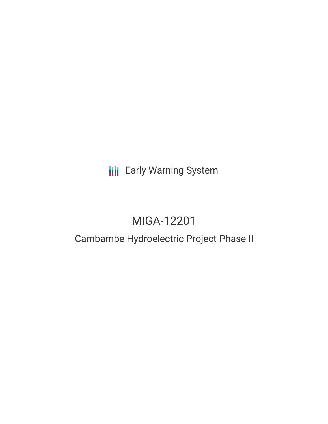## **III** Early Warning System

# MIGA-12201

### Cambambe Hydroelectric Project-Phase II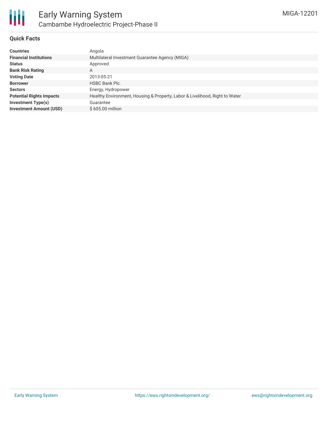

#### **Quick Facts**

| <b>Countries</b>                | Angola                                                                      |
|---------------------------------|-----------------------------------------------------------------------------|
| <b>Financial Institutions</b>   | Multilateral Investment Guarantee Agency (MIGA)                             |
| <b>Status</b>                   | Approved                                                                    |
| <b>Bank Risk Rating</b>         | A                                                                           |
| <b>Voting Date</b>              | 2013-05-21                                                                  |
| <b>Borrower</b>                 | <b>HSBC Bank Plc.</b>                                                       |
| <b>Sectors</b>                  | Energy, Hydropower                                                          |
| <b>Potential Rights Impacts</b> | Healthy Environment, Housing & Property, Labor & Livelihood, Right to Water |
| Investment Type(s)              | Guarantee                                                                   |
| <b>Investment Amount (USD)</b>  | $$605.00$ million                                                           |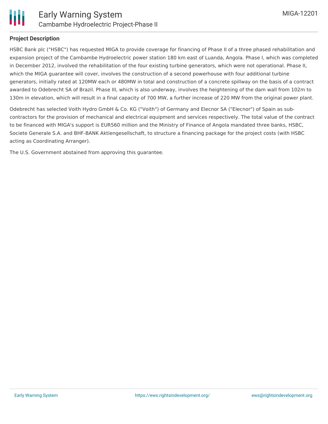

#### **Project Description**

HSBC Bank plc ("HSBC") has requested MIGA to provide coverage for financing of Phase II of a three phased rehabilitation and expansion project of the Cambambe Hydroelectric power station 180 km east of Luanda, Angola. Phase I, which was completed in December 2012, involved the rehabilitation of the four existing turbine generators, which were not operational. Phase II, which the MIGA guarantee will cover, involves the construction of a second powerhouse with four additional turbine generators, initially rated at 120MW each or 480MW in total and construction of a concrete spillway on the basis of a contract awarded to Odebrecht SA of Brazil. Phase III, which is also underway, involves the heightening of the dam wall from 102m to 130m in elevation, which will result in a final capacity of 700 MW, a further increase of 220 MW from the original power plant.

Odebrecht has selected Voith Hydro GmbH & Co. KG ("Voith") of Germany and Elecnor SA ("Elecnor") of Spain as subcontractors for the provision of mechanical and electrical equipment and services respectively. The total value of the contract to be financed with MIGA's support is EUR560 million and the Ministry of Finance of Angola mandated three banks, HSBC, Societe Generale S.A. and BHF-BANK Aktiengesellschaft, to structure a financing package for the project costs (with HSBC acting as Coordinating Arranger).

The U.S. Government abstained from approving this guarantee.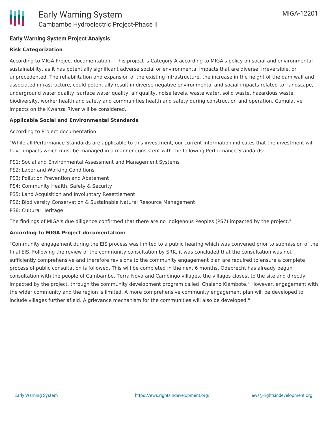#### **Early Warning System Project Analysis**

#### **Risk Categorization**

According to MIGA Project documentation, "This project is Category A according to MIGA's policy on social and environmental sustainability, as it has potentially significant adverse social or environmental impacts that are diverse, irreversible, or unprecedented. The rehabilitation and expansion of the existing infrastructure, the increase in the height of the dam wall and associated infrastructure, could potentially result in diverse negative environmental and social impacts related to: landscape, underground water quality, surface water quality, air quality, noise levels, waste water, solid waste, hazardous waste, biodiversity, worker health and safety and communities health and safety during construction and operation. Cumulative impacts on the Kwanza River will be considered."

#### **Applicable Social and Environmental Standards**

According to Project documentation:

"While all Performance Standards are applicable to this investment, our current information indicates that the investment will have impacts which must be managed in a manner consistent with the following Performance Standards:

- PS1: Social and Environmental Assessment and Management Systems
- PS2: Labor and Working Conditions
- PS3: Pollution Prevention and Abatement
- PS4: Community Health, Safety & Security
- PS5: Land Acquisition and Involuntary Resettlement
- PS6: Biodiversity Conservation & Sustainable Natural Resource Management
- PS8: Cultural Heritage

The findings of MIGA's due diligence confirmed that there are no Indigenous Peoples (PS7) impacted by the project."

#### **According to MIGA Project documentation:**

"Community engagement during the EIS process was limited to a public hearing which was convened prior to submission of the final EIS. Following the review of the community consultation by SRK, it was concluded that the consultation was not sufficiently comprehensive and therefore revisions to the community engagement plan are required to ensure a complete process of public consultation is followed. This will be completed in the next 6 months. Odebrecht has already begun consultation with the people of Cambambe, Terra Nova and Cambingo villages, the villages closest to the site and directly impacted by the project, through the community development program called 'Chaleno Kiambote." However, engagement with the wider community and the region is limited. A more comprehensive community engagement plan will be developed to include villages further afield. A grievance mechanism for the communities will also be developed."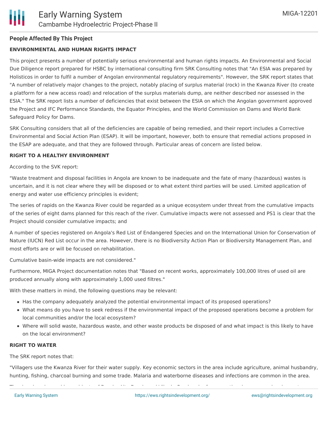#### **People Affected By This Project**

#### **ENVIRONMENTAL AND HUMAN RIGHTS IMPACT**

This project presents a number of potentially serious environmental and human rights impacts. An Environmental and Social Due Diligence report prepared for HSBC by international consulting firm SRK Consulting notes that "An ESIA was prepared by Holisticos in order to fulfil a number of Angolan environmental regulatory requirements". However, the SRK report states that "A number of relatively major changes to the project, notably placing of surplus material (rock) in the Kwanza River (to create a platform for a new access road) and relocation of the surplus materials dump, are neither described nor assessed in the ESIA." The SRK report lists a number of deficiencies that exist between the ESIA on which the Angolan government approved the Project and IFC Performance Standards, the Equator Principles, and the World Commission on Dams and World Bank Safeguard Policy for Dams.

SRK Consulting considers that all of the deficiencies are capable of being remedied, and their report includes a Corrective Environmental and Social Action Plan (ESAP). It will be important, however, both to ensure that remedial actions proposed in the ESAP are adequate, and that they are followed through. Particular areas of concern are listed below.

#### **RIGHT TO A HEALTHY ENVIRONMENT**

According to the SVK report:

"Waste treatment and disposal facilities in Angola are known to be inadequate and the fate of many (hazardous) wastes is uncertain, and it is not clear where they will be disposed or to what extent third parties will be used. Limited application of energy and water use efficiency principles is evident;

The series of rapids on the Kwanza River could be regarded as a unique ecosystem under threat from the cumulative impacts of the series of eight dams planned for this reach of the river. Cumulative impacts were not assessed and PS1 is clear that the Project should consider cumulative impacts; and

A number of species registered on Angola's Red List of Endangered Species and on the International Union for Conservation of Nature (IUCN) Red List occur in the area. However, there is no Biodiversity Action Plan or Biodiversity Management Plan, and most efforts are or will be focused on rehabilitation.

Cumulative basin-wide impacts are not considered."

Furthermore, MIGA Project documentation notes that "Based on recent works, approximately 100,000 litres of used oil are produced annually along with approximately 1,000 used filtres."

With these matters in mind, the following questions may be relevant:

- Has the company adequately analyzed the potential environmental impact of its proposed operations?
- What means do you have to seek redress if the environmental impact of the proposed operations become a problem for local communities and/or the local ecosystem?
- Where will solid waste, hazardous waste, and other waste products be disposed of and what impact is this likely to have on the local environment?

#### **RIGHT TO WATER**

The SRK report notes that:

"Villagers use the Kwanza River for their water supply. Key economic sectors in the area include agriculture, animal husbandry, hunting, fishing, charcoal burning and some trade. Malaria and waterborne diseases and infections are common in the area.

The river beach, used by residents of Dondo, Alto Dondo and Vila de Cambambe for recreational purposes, drawing water,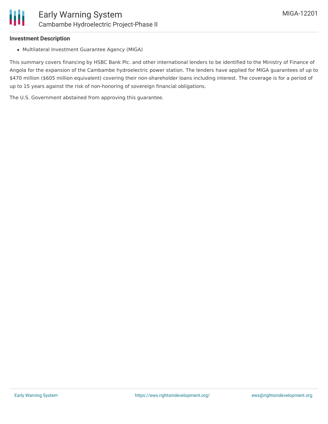### **Investment Description**

Multilateral Investment Guarantee Agency (MIGA)

This summary covers financing by HSBC Bank Plc. and other international lenders to be identified to the Ministry of Finance of Angola for the expansion of the Cambambe hydroelectric power station. The lenders have applied for MIGA guarantees of up to \$470 million (\$605 million equivalent) covering their non-shareholder loans including interest. The coverage is for a period of up to 15 years against the risk of non-honoring of sovereign financial obligations.

The U.S. Government abstained from approving this guarantee.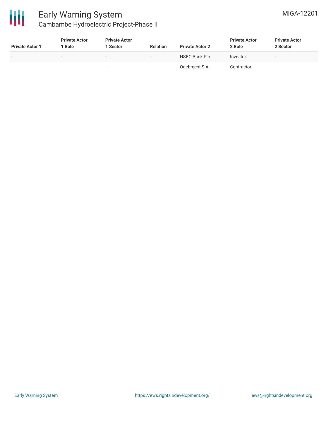

### Early Warning System Cambambe Hydroelectric Project-Phase II

| <b>Private Actor 1</b>   | <b>Private Actor</b><br>Role | <b>Private Actor</b><br>1 Sector | <b>Relation</b>          | <b>Private Actor 2</b> | <b>Private Actor</b><br>2 Role | <b>Private Actor</b><br>2 Sector |
|--------------------------|------------------------------|----------------------------------|--------------------------|------------------------|--------------------------------|----------------------------------|
| $\overline{\phantom{0}}$ | $\overline{\phantom{0}}$     |                                  | $\overline{\phantom{a}}$ | <b>HSBC Bank Plc</b>   | Investor                       | $\sim$                           |
| $\overline{\phantom{a}}$ |                              |                                  |                          | Odebrecht S.A.         | Contractor                     |                                  |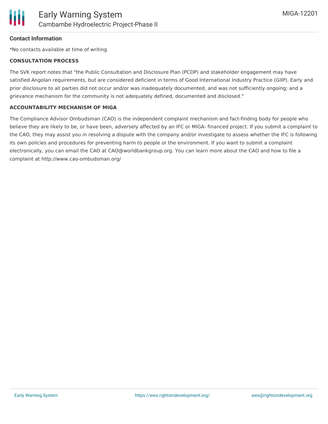

#### **Contact Information**

\*No contacts available at time of writing

#### **CONSULTATION PROCESS**

The SVK report notes that "the Public Consultation and Disclosure Plan (PCDP) and stakeholder engagement may have satisfied Angolan requirements, but are considered deficient in terms of Good International Industry Practice (GIIP). Early and prior disclosure to all parties did not occur and/or was inadequately documented, and was not sufficiently ongoing; and a grievance mechanism for the community is not adequately defined, documented and disclosed."

#### **ACCOUNTABILITY MECHANISM OF MIGA**

The Compliance Advisor Ombudsman (CAO) is the independent complaint mechanism and fact-finding body for people who believe they are likely to be, or have been, adversely affected by an IFC or MIGA- financed project. If you submit a complaint to the CAO, they may assist you in resolving a dispute with the company and/or investigate to assess whether the IFC is following its own policies and procedures for preventing harm to people or the environment. If you want to submit a complaint electronically, you can email the CAO at CAO@worldbankgroup.org. You can learn more about the CAO and how to file a complaint at http://www.cao-ombudsman.org/